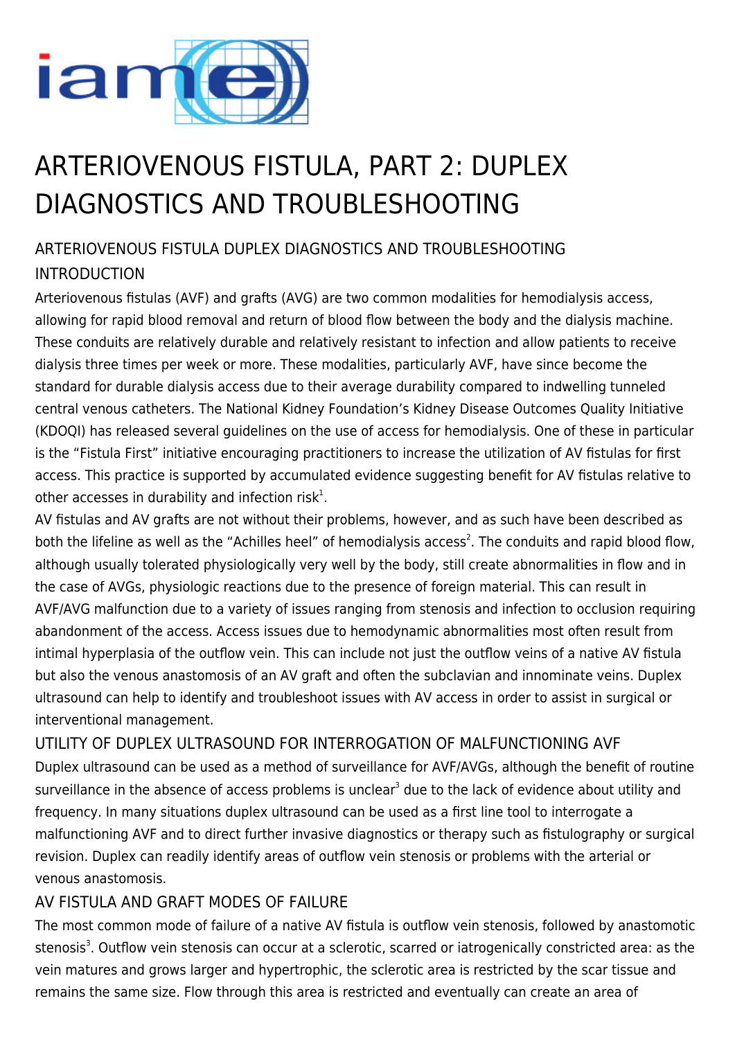

# ARTERIOVENOUS FISTULA, PART 2: DUPLEX DIAGNOSTICS AND TROUBLESHOOTING

# ARTERIOVENOUS FISTULA DUPLEX DIAGNOSTICS AND TROUBLESHOOTING INTRODUCTION

Arteriovenous fistulas (AVF) and grafts (AVG) are two common modalities for hemodialysis access, allowing for rapid blood removal and return of blood flow between the body and the dialysis machine. These conduits are relatively durable and relatively resistant to infection and allow patients to receive dialysis three times per week or more. These modalities, particularly AVF, have since become the standard for durable dialysis access due to their average durability compared to indwelling tunneled central venous catheters. The National Kidney Foundation's Kidney Disease Outcomes Quality Initiative (KDOQI) has released several guidelines on the use of access for hemodialysis. One of these in particular is the "Fistula First" initiative encouraging practitioners to increase the utilization of AV fistulas for first access. This practice is supported by accumulated evidence suggesting benefit for AV fistulas relative to other accesses in durability and infection risk $1$ .

AV fistulas and AV grafts are not without their problems, however, and as such have been described as both the lifeline as well as the "Achilles heel" of hemodialysis access<sup>2</sup>. The conduits and rapid blood flow, although usually tolerated physiologically very well by the body, still create abnormalities in flow and in the case of AVGs, physiologic reactions due to the presence of foreign material. This can result in AVF/AVG malfunction due to a variety of issues ranging from stenosis and infection to occlusion requiring abandonment of the access. Access issues due to hemodynamic abnormalities most often result from intimal hyperplasia of the outflow vein. This can include not just the outflow veins of a native AV fistula but also the venous anastomosis of an AV graft and often the subclavian and innominate veins. Duplex ultrasound can help to identify and troubleshoot issues with AV access in order to assist in surgical or interventional management.

UTILITY OF DUPLEX ULTRASOUND FOR INTERROGATION OF MALFUNCTIONING AVF Duplex ultrasound can be used as a method of surveillance for AVF/AVGs, although the benefit of routine surveillance in the absence of access problems is unclear<sup>3</sup> due to the lack of evidence about utility and frequency. In many situations duplex ultrasound can be used as a first line tool to interrogate a malfunctioning AVF and to direct further invasive diagnostics or therapy such as fistulography or surgical revision. Duplex can readily identify areas of outflow vein stenosis or problems with the arterial or venous anastomosis.

## AV FISTULA AND GRAFT MODES OF FAILURE

The most common mode of failure of a native AV fistula is outflow vein stenosis, followed by anastomotic stenosis<sup>3</sup>. Outflow vein stenosis can occur at a sclerotic, scarred or iatrogenically constricted area: as the vein matures and grows larger and hypertrophic, the sclerotic area is restricted by the scar tissue and remains the same size. Flow through this area is restricted and eventually can create an area of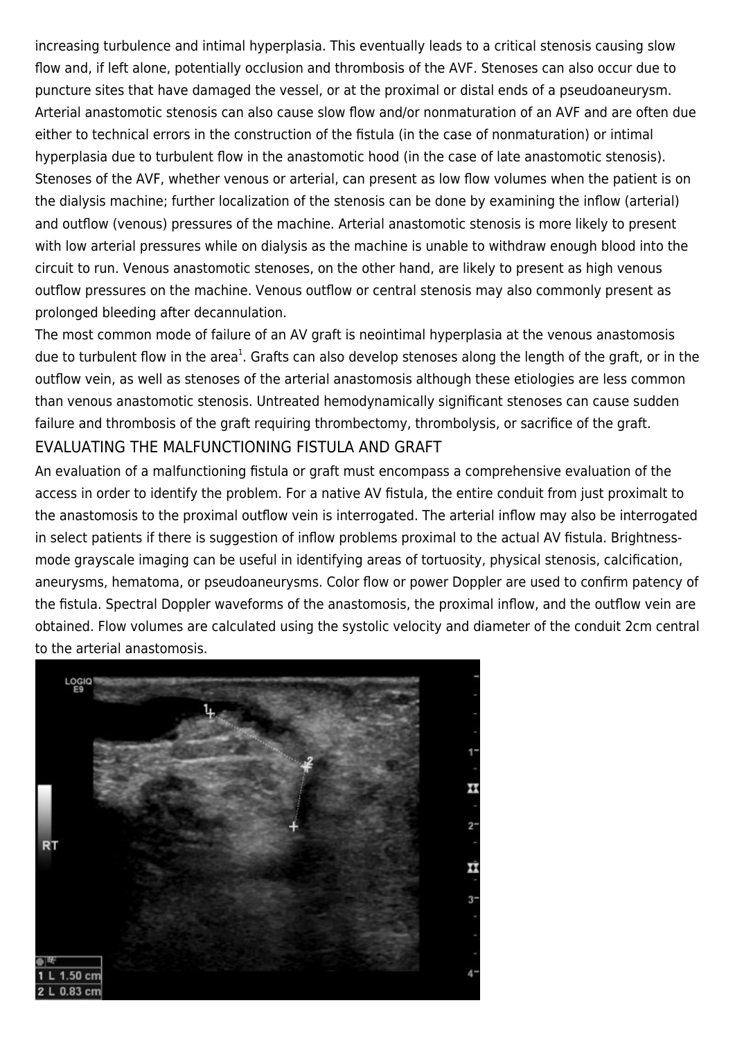increasing turbulence and intimal hyperplasia. This eventually leads to a critical stenosis causing slow flow and, if left alone, potentially occlusion and thrombosis of the AVF. Stenoses can also occur due to puncture sites that have damaged the vessel, or at the proximal or distal ends of a pseudoaneurysm. Arterial anastomotic stenosis can also cause slow flow and/or nonmaturation of an AVF and are often due either to technical errors in the construction of the fistula (in the case of nonmaturation) or intimal hyperplasia due to turbulent flow in the anastomotic hood (in the case of late anastomotic stenosis). Stenoses of the AVF, whether venous or arterial, can present as low flow volumes when the patient is on the dialysis machine; further localization of the stenosis can be done by examining the inflow (arterial) and outflow (venous) pressures of the machine. Arterial anastomotic stenosis is more likely to present with low arterial pressures while on dialysis as the machine is unable to withdraw enough blood into the circuit to run. Venous anastomotic stenoses, on the other hand, are likely to present as high venous outflow pressures on the machine. Venous outflow or central stenosis may also commonly present as prolonged bleeding after decannulation.

The most common mode of failure of an AV graft is neointimal hyperplasia at the venous anastomosis due to turbulent flow in the area<sup>1</sup>. Grafts can also develop stenoses along the length of the graft, or in the outflow vein, as well as stenoses of the arterial anastomosis although these etiologies are less common than venous anastomotic stenosis. Untreated hemodynamically significant stenoses can cause sudden failure and thrombosis of the graft requiring thrombectomy, thrombolysis, or sacrifice of the graft. EVALUATING THE MALFUNCTIONING FISTULA AND GRAFT

An evaluation of a malfunctioning fistula or graft must encompass a comprehensive evaluation of the access in order to identify the problem. For a native AV fistula, the entire conduit from just proximalt to the anastomosis to the proximal outflow vein is interrogated. The arterial inflow may also be interrogated in select patients if there is suggestion of inflow problems proximal to the actual AV fistula. Brightnessmode grayscale imaging can be useful in identifying areas of tortuosity, physical stenosis, calcification, aneurysms, hematoma, or pseudoaneurysms. Color flow or power Doppler are used to confirm patency of the fistula. Spectral Doppler waveforms of the anastomosis, the proximal inflow, and the outflow vein are obtained. Flow volumes are calculated using the systolic velocity and diameter of the conduit 2cm central to the arterial anastomosis.

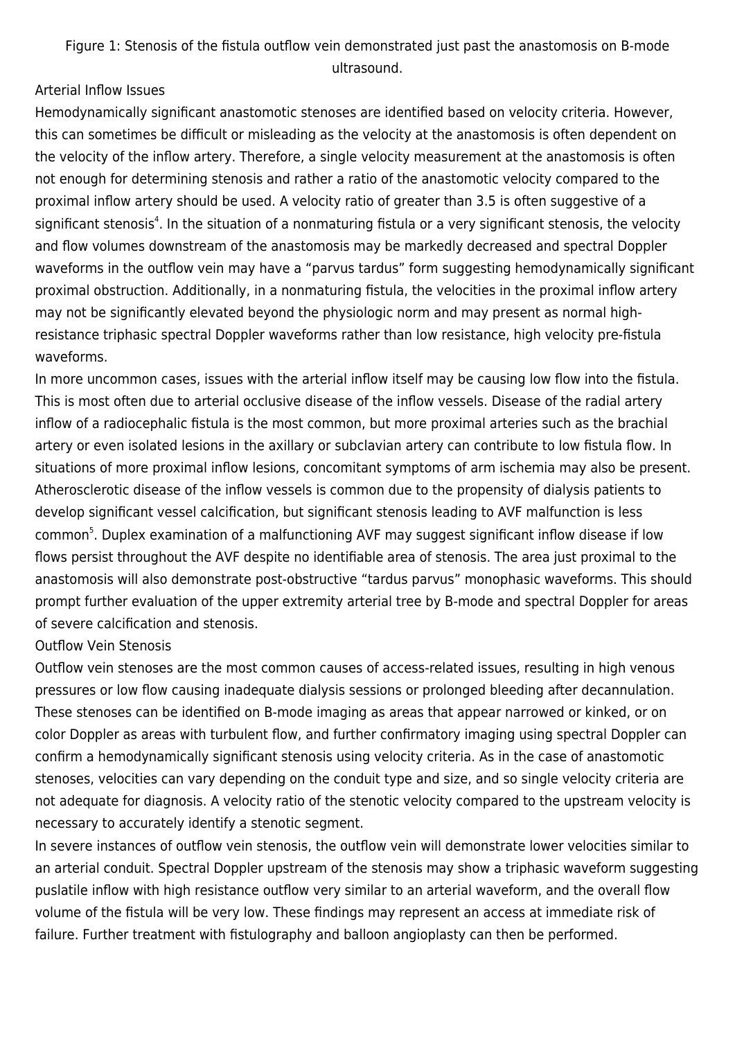Figure 1: Stenosis of the fistula outflow vein demonstrated just past the anastomosis on B-mode ultrasound.

#### Arterial Inflow Issues

Hemodynamically significant anastomotic stenoses are identified based on velocity criteria. However, this can sometimes be difficult or misleading as the velocity at the anastomosis is often dependent on the velocity of the inflow artery. Therefore, a single velocity measurement at the anastomosis is often not enough for determining stenosis and rather a ratio of the anastomotic velocity compared to the proximal inflow artery should be used. A velocity ratio of greater than 3.5 is often suggestive of a significant stenosis<sup>4</sup>. In the situation of a nonmaturing fistula or a very significant stenosis, the velocity and flow volumes downstream of the anastomosis may be markedly decreased and spectral Doppler waveforms in the outflow vein may have a "parvus tardus" form suggesting hemodynamically significant proximal obstruction. Additionally, in a nonmaturing fistula, the velocities in the proximal inflow artery may not be significantly elevated beyond the physiologic norm and may present as normal highresistance triphasic spectral Doppler waveforms rather than low resistance, high velocity pre-fistula waveforms.

In more uncommon cases, issues with the arterial inflow itself may be causing low flow into the fistula. This is most often due to arterial occlusive disease of the inflow vessels. Disease of the radial artery inflow of a radiocephalic fistula is the most common, but more proximal arteries such as the brachial artery or even isolated lesions in the axillary or subclavian artery can contribute to low fistula flow. In situations of more proximal inflow lesions, concomitant symptoms of arm ischemia may also be present. Atherosclerotic disease of the inflow vessels is common due to the propensity of dialysis patients to develop significant vessel calcification, but significant stenosis leading to AVF malfunction is less common<sup>5</sup>. Duplex examination of a malfunctioning AVF may suggest significant inflow disease if low flows persist throughout the AVF despite no identifiable area of stenosis. The area just proximal to the anastomosis will also demonstrate post-obstructive "tardus parvus" monophasic waveforms. This should prompt further evaluation of the upper extremity arterial tree by B-mode and spectral Doppler for areas of severe calcification and stenosis.

#### Outflow Vein Stenosis

Outflow vein stenoses are the most common causes of access-related issues, resulting in high venous pressures or low flow causing inadequate dialysis sessions or prolonged bleeding after decannulation. These stenoses can be identified on B-mode imaging as areas that appear narrowed or kinked, or on color Doppler as areas with turbulent flow, and further confirmatory imaging using spectral Doppler can confirm a hemodynamically significant stenosis using velocity criteria. As in the case of anastomotic stenoses, velocities can vary depending on the conduit type and size, and so single velocity criteria are not adequate for diagnosis. A velocity ratio of the stenotic velocity compared to the upstream velocity is necessary to accurately identify a stenotic segment.

In severe instances of outflow vein stenosis, the outflow vein will demonstrate lower velocities similar to an arterial conduit. Spectral Doppler upstream of the stenosis may show a triphasic waveform suggesting puslatile inflow with high resistance outflow very similar to an arterial waveform, and the overall flow volume of the fistula will be very low. These findings may represent an access at immediate risk of failure. Further treatment with fistulography and balloon angioplasty can then be performed.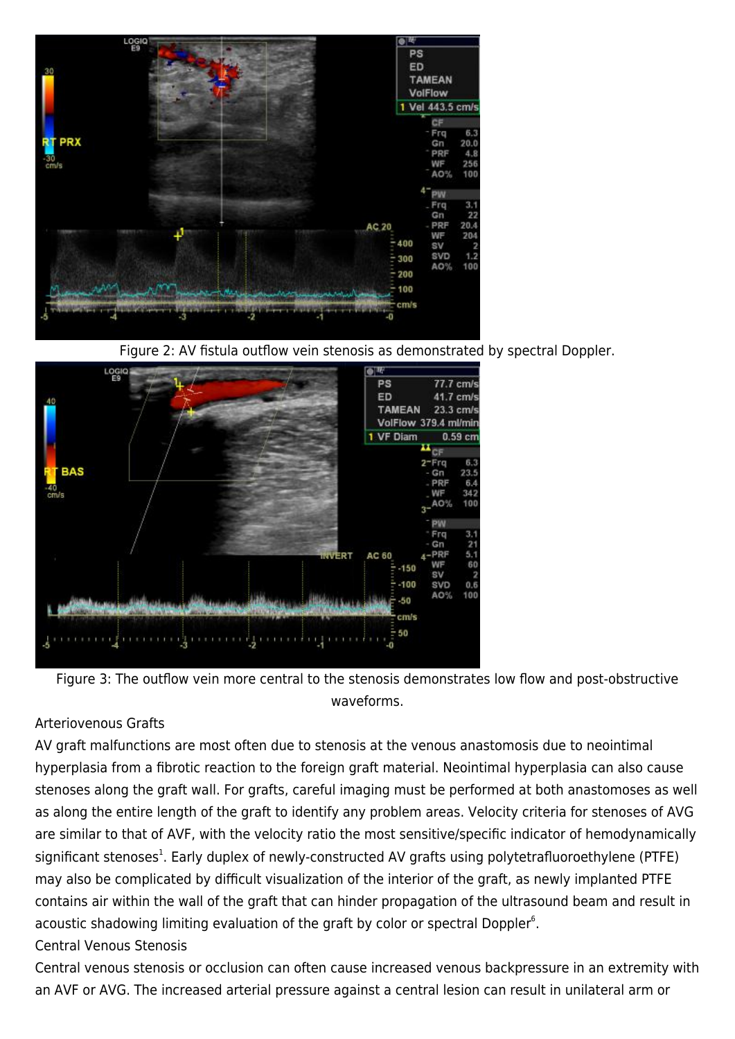







#### Arteriovenous Grafts

AV graft malfunctions are most often due to stenosis at the venous anastomosis due to neointimal hyperplasia from a fibrotic reaction to the foreign graft material. Neointimal hyperplasia can also cause stenoses along the graft wall. For grafts, careful imaging must be performed at both anastomoses as well as along the entire length of the graft to identify any problem areas. Velocity criteria for stenoses of AVG are similar to that of AVF, with the velocity ratio the most sensitive/specific indicator of hemodynamically significant stenoses<sup>1</sup>. Early duplex of newly-constructed AV grafts using polytetrafluoroethylene (PTFE) may also be complicated by difficult visualization of the interior of the graft, as newly implanted PTFE contains air within the wall of the graft that can hinder propagation of the ultrasound beam and result in acoustic shadowing limiting evaluation of the graft by color or spectral Doppler $6$ .

#### Central Venous Stenosis

Central venous stenosis or occlusion can often cause increased venous backpressure in an extremity with an AVF or AVG. The increased arterial pressure against a central lesion can result in unilateral arm or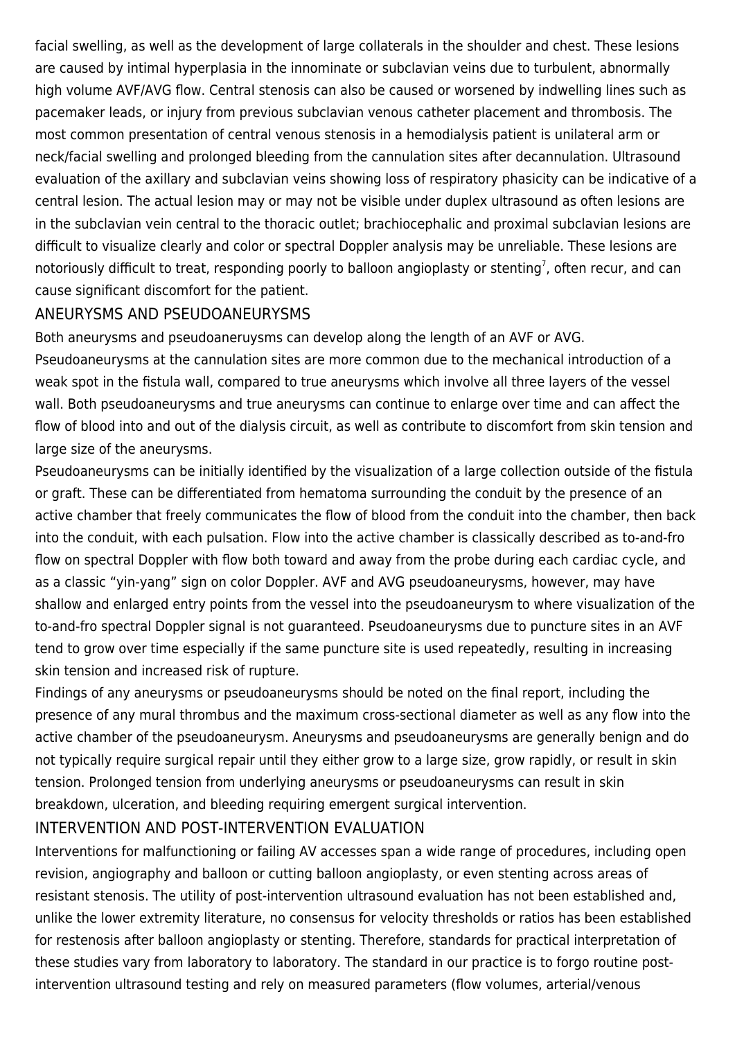facial swelling, as well as the development of large collaterals in the shoulder and chest. These lesions are caused by intimal hyperplasia in the innominate or subclavian veins due to turbulent, abnormally high volume AVF/AVG flow. Central stenosis can also be caused or worsened by indwelling lines such as pacemaker leads, or injury from previous subclavian venous catheter placement and thrombosis. The most common presentation of central venous stenosis in a hemodialysis patient is unilateral arm or neck/facial swelling and prolonged bleeding from the cannulation sites after decannulation. Ultrasound evaluation of the axillary and subclavian veins showing loss of respiratory phasicity can be indicative of a central lesion. The actual lesion may or may not be visible under duplex ultrasound as often lesions are in the subclavian vein central to the thoracic outlet; brachiocephalic and proximal subclavian lesions are difficult to visualize clearly and color or spectral Doppler analysis may be unreliable. These lesions are notoriously difficult to treat, responding poorly to balloon angioplasty or stenting<sup>7</sup>, often recur, and can cause significant discomfort for the patient.

#### ANEURYSMS AND PSEUDOANEURYSMS

Both aneurysms and pseudoaneruysms can develop along the length of an AVF or AVG. Pseudoaneurysms at the cannulation sites are more common due to the mechanical introduction of a weak spot in the fistula wall, compared to true aneurysms which involve all three layers of the vessel wall. Both pseudoaneurysms and true aneurysms can continue to enlarge over time and can affect the flow of blood into and out of the dialysis circuit, as well as contribute to discomfort from skin tension and large size of the aneurysms.

Pseudoaneurysms can be initially identified by the visualization of a large collection outside of the fistula or graft. These can be differentiated from hematoma surrounding the conduit by the presence of an active chamber that freely communicates the flow of blood from the conduit into the chamber, then back into the conduit, with each pulsation. Flow into the active chamber is classically described as to-and-fro flow on spectral Doppler with flow both toward and away from the probe during each cardiac cycle, and as a classic "yin-yang" sign on color Doppler. AVF and AVG pseudoaneurysms, however, may have shallow and enlarged entry points from the vessel into the pseudoaneurysm to where visualization of the to-and-fro spectral Doppler signal is not guaranteed. Pseudoaneurysms due to puncture sites in an AVF tend to grow over time especially if the same puncture site is used repeatedly, resulting in increasing skin tension and increased risk of rupture.

Findings of any aneurysms or pseudoaneurysms should be noted on the final report, including the presence of any mural thrombus and the maximum cross-sectional diameter as well as any flow into the active chamber of the pseudoaneurysm. Aneurysms and pseudoaneurysms are generally benign and do not typically require surgical repair until they either grow to a large size, grow rapidly, or result in skin tension. Prolonged tension from underlying aneurysms or pseudoaneurysms can result in skin breakdown, ulceration, and bleeding requiring emergent surgical intervention.

## INTERVENTION AND POST-INTERVENTION EVALUATION

Interventions for malfunctioning or failing AV accesses span a wide range of procedures, including open revision, angiography and balloon or cutting balloon angioplasty, or even stenting across areas of resistant stenosis. The utility of post-intervention ultrasound evaluation has not been established and, unlike the lower extremity literature, no consensus for velocity thresholds or ratios has been established for restenosis after balloon angioplasty or stenting. Therefore, standards for practical interpretation of these studies vary from laboratory to laboratory. The standard in our practice is to forgo routine postintervention ultrasound testing and rely on measured parameters (flow volumes, arterial/venous